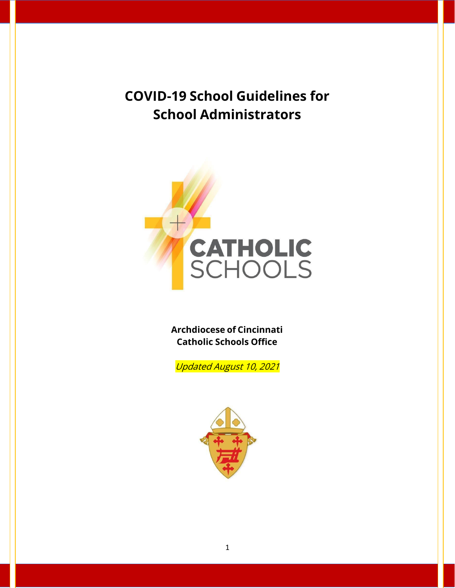**COVID-19 School Guidelines for School Administrators**



**Archdiocese of Cincinnati Catholic Schools Office**

Updated August 10, 2021

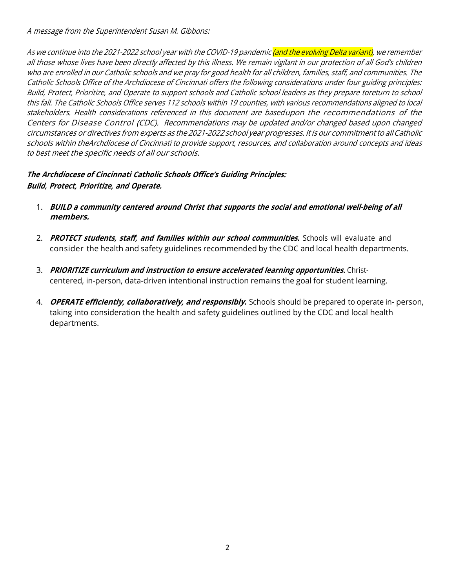A message from the Superintendent Susan M. Gibbons:

As we continue into the 2021-2022 school year with the COVID-19 pandemic (and the evolving Delta variant), we remember all those whose lives have been directly affected by this illness. We remain vigilant in our protection of all God's children who are enrolled in our Catholic schools and we pray for good health for all children, families, staff, and communities. The Catholic Schools Office of the Archdiocese of Cincinnati offers the following considerations under four guiding principles: Build, Protect, Prioritize, and Operate to support schools and Catholic school leaders as they prepare toreturn to school this fall. The Catholic Schools Office serves 112 schools within 19 counties, with various recommendations aligned to local stakeholders. Health considerations referenced in this document are basedupon the recommendations of the Centers for Disease Control (CDC). Recommendations may be updated and/or changed based upon changed circumstances or directives from experts as the 2021-2022 school year progresses. Itis our commitmentto allCatholic schools within theArchdiocese of Cincinnati to provide support, resources, and collaboration around concepts and ideas to best meet the specific needs of all our schools.

# **The Archdiocese of Cincinnati Catholic Schools Office's Guiding Principles: Build, Protect, Prioritize, and Operate.**

- 1. **BUILD <sup>a</sup> community centered around Christ that supports the social and emotional well-being of all members.**
- 2. **PROTECT students, staff, and families within our school communities.** Schools will evaluate and consider the health and safety guidelines recommended by the CDC and local health departments.
- 3. **PRIORITIZE curriculum and instruction to ensure accelerated learning opportunities.** Christcentered, in-person, data-driven intentional instruction remains the goal for student learning.
- 4. **OPERATE efficiently, collaboratively, and responsibly.** Schools should be prepared to operate in- person, taking into consideration the health and safety guidelines outlined by the CDC and local health departments.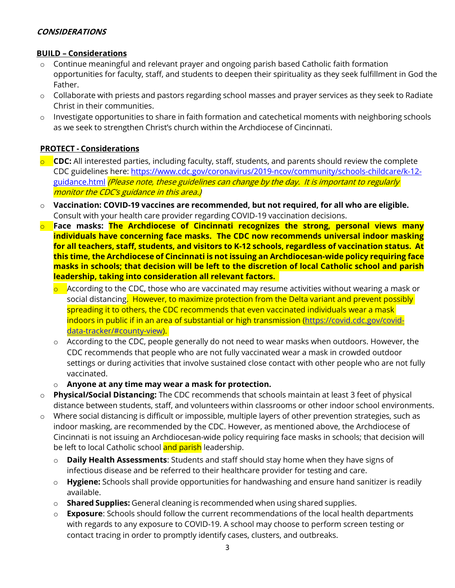### **CONSIDERATIONS**

### **BUILD – Considerations**

- o Continue meaningful and relevant prayer and ongoing parish based Catholic faith formation opportunities for faculty, staff, and students to deepen their spirituality as they seek fulfillment in God the Father.
- $\circ$  Collaborate with priests and pastors regarding school masses and prayer services as they seek to Radiate Christ in their communities.
- $\circ$  Investigate opportunities to share in faith formation and catechetical moments with neighboring schools as we seek to strengthen Christ's church within the Archdiocese of Cincinnati.

## **PROTECT - Considerations**

- o **CDC:** All interested parties, including faculty, staff, students, and parents should review the complete CDC guidelines here: [https://www.cdc.gov/coronavirus/2019-ncov/community/schools-childcare/k-12](https://www.cdc.gov/coronavirus/2019-ncov/community/schools-childcare/k-12-guidance.html) [guidance.html](https://www.cdc.gov/coronavirus/2019-ncov/community/schools-childcare/k-12-guidance.html) (Please note, these guidelines can change by the day. It is important to regularly monitor the CDC's guidance in this area.)
- o **Vaccination: COVID-19 vaccines are recommended, but not required, for all who are eligible.** Consult with your health care provider regarding COVID-19 vaccination decisions.
- o **Face masks: The Archdiocese of Cincinnati recognizes the strong, personal views many individuals have concerning face masks. The CDC now recommends universal indoor masking for all teachers, staff, students, and visitors to K-12 schools, regardless of vaccination status. At this time, the Archdiocese of Cincinnati is not issuing an Archdiocesan-wide policy requiring face masks in schools; that decision will be left to the discretion of local Catholic school and parish leadership, taking into consideration all relevant factors.** 
	- $\circ$  According to the CDC, those who are vaccinated may resume activities without wearing a mask or social distancing. However, to maximize protection from the Delta variant and prevent possibly spreading it to others, the CDC recommends that even vaccinated individuals wear a mask indoors in public if in an area of substantial or high transmission [\(https://covid.cdc.gov/covid](https://covid.cdc.gov/covid-data-tracker/#county-view)[data-tracker/#county-view\)](https://covid.cdc.gov/covid-data-tracker/#county-view).
	- o According to the CDC, people generally do not need to wear masks when outdoors. However, the CDC recommends that people who are not fully vaccinated wear a mask in crowded outdoor settings or during activities that involve sustained close contact with other people who are not fully vaccinated.
	- o **Anyone at any time may wear a mask for protection.**
- o **Physical/Social Distancing:** The CDC recommends that schools maintain at least 3 feet of physical distance between students, staff, and volunteers within classrooms or other indoor school environments.
- o Where social distancing is difficult or impossible, multiple layers of other prevention strategies, such as indoor masking, are recommended by the CDC. However, as mentioned above, the Archdiocese of Cincinnati is not issuing an Archdiocesan-wide policy requiring face masks in schools; that decision will be left to local Catholic school and parish leadership.
	- o **Daily Health Assessments**: Students and staff should stay home when they have signs of infectious disease and be referred to their healthcare provider for testing and care.
	- o **Hygiene:** Schools shall provide opportunities for handwashing and ensure hand sanitizer is readily available.
	- o **Shared Supplies:** General cleaning is recommended when using shared supplies.
	- o **Exposure**: Schools should follow the current recommendations of the local health departments with regards to any exposure to COVID-19. A school may choose to perform screen testing or contact tracing in order to promptly identify cases, clusters, and outbreaks.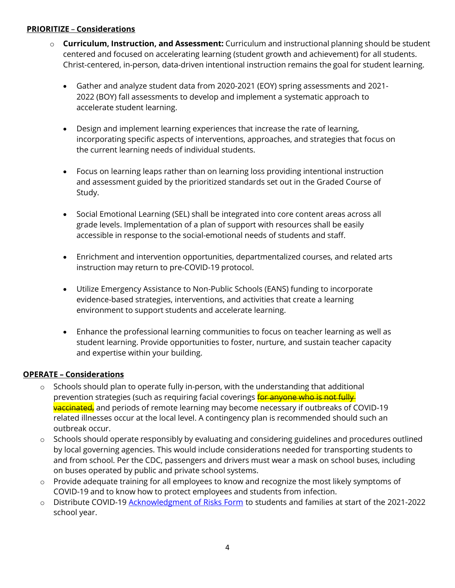## **PRIORITIZE** – **Considerations**

- o **Curriculum, Instruction, and Assessment:** Curriculum and instructional planning should be student centered and focused on accelerating learning (student growth and achievement) for all students. Christ-centered, in-person, data-driven intentional instruction remains the goal for student learning.
	- Gather and analyze student data from 2020-2021 (EOY) spring assessments and 2021- 2022 (BOY) fall assessments to develop and implement a systematic approach to accelerate student learning.
	- Design and implement learning experiences that increase the rate of learning, incorporating specific aspects of interventions, approaches, and strategies that focus on the current learning needs of individual students.
	- Focus on learning leaps rather than on learning loss providing intentional instruction and assessment guided by the prioritized standards set out in the Graded Course of Study.
	- Social Emotional Learning (SEL) shall be integrated into core content areas across all grade levels. Implementation of a plan of support with resources shall be easily accessible in response to the social-emotional needs of students and staff.
	- Enrichment and intervention opportunities, departmentalized courses, and related arts instruction may return to pre-COVID-19 protocol.
	- Utilize Emergency Assistance to Non-Public Schools (EANS) funding to incorporate evidence-based strategies, interventions, and activities that create a learning environment to support students and accelerate learning.
	- Enhance the professional learning communities to focus on teacher learning as well as student learning. Provide opportunities to foster, nurture, and sustain teacher capacity and expertise within your building.

# **OPERATE – Considerations**

- $\circ$  Schools should plan to operate fully in-person, with the understanding that additional prevention strategies (such as requiring facial coverings for anyone who is not fully **vaccinated,** and periods of remote learning may become necessary if outbreaks of COVID-19 related illnesses occur at the local level. A contingency plan is recommended should such an outbreak occur.
- o Schools should operate responsibly by evaluating and considering guidelines and procedures outlined by local governing agencies. This would include considerations needed for transporting students to and from school. Per the CDC, passengers and drivers must wear a mask on school buses, including on buses operated by public and private school systems.
- $\circ$  Provide adequate training for all employees to know and recognize the most likely symptoms of COVID-19 and to know how to protect employees and students from infection.
- o Distribute COVID-19 Acknowledgment of Risks Form to students and families at start of the 2021-2022 school year.